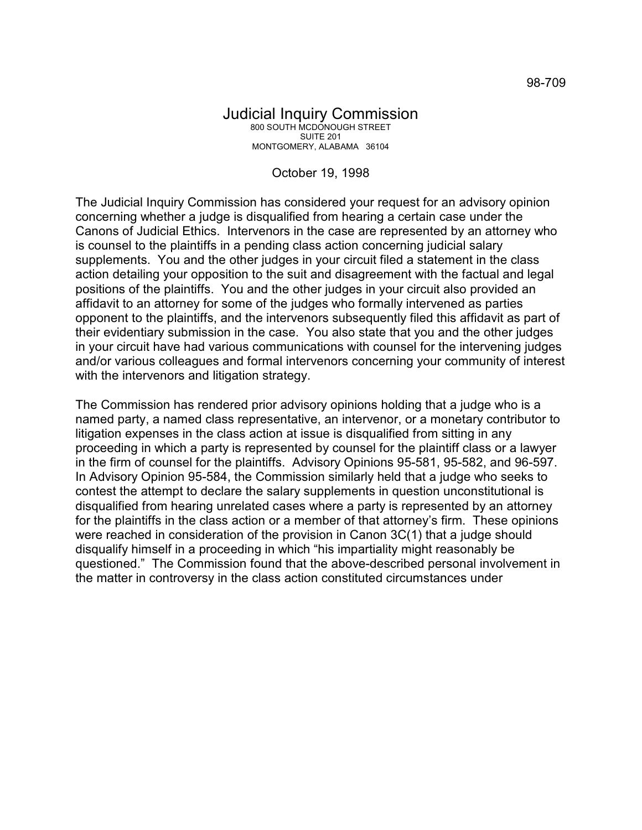## October 19, 1998

The Judicial Inquiry Commission has considered your request for an advisory opinion concerning whether a judge is disqualified from hearing a certain case under the Canons of Judicial Ethics. Intervenors in the case are represented by an attorney who is counsel to the plaintiffs in a pending class action concerning judicial salary supplements. You and the other judges in your circuit filed a statement in the class action detailing your opposition to the suit and disagreement with the factual and legal positions of the plaintiffs. You and the other judges in your circuit also provided an affidavit to an attorney for some of the judges who formally intervened as parties opponent to the plaintiffs, and the intervenors subsequently filed this affidavit as part of their evidentiary submission in the case. You also state that you and the other judges in your circuit have had various communications with counsel for the intervening judges and/or various colleagues and formal intervenors concerning your community of interest with the intervenors and litigation strategy.

The Commission has rendered prior advisory opinions holding that a judge who is a named party, a named class representative, an intervenor, or a monetary contributor to litigation expenses in the class action at issue is disqualified from sitting in any proceeding in which a party is represented by counsel for the plaintiff class or a lawyer in the firm of counsel for the plaintiffs. Advisory Opinions 95-581, 95-582, and 96-597. In Advisory Opinion 95-584, the Commission similarly held that a judge who seeks to contest the attempt to declare the salary supplements in question unconstitutional is disqualified from hearing unrelated cases where a party is represented by an attorney for the plaintiffs in the class action or a member of that attorney's firm. These opinions were reached in consideration of the provision in Canon 3C(1) that a judge should disqualify himself in a proceeding in which "his impartiality might reasonably be questioned." The Commission found that the above-described personal involvement in the matter in controversy in the class action constituted circumstances under